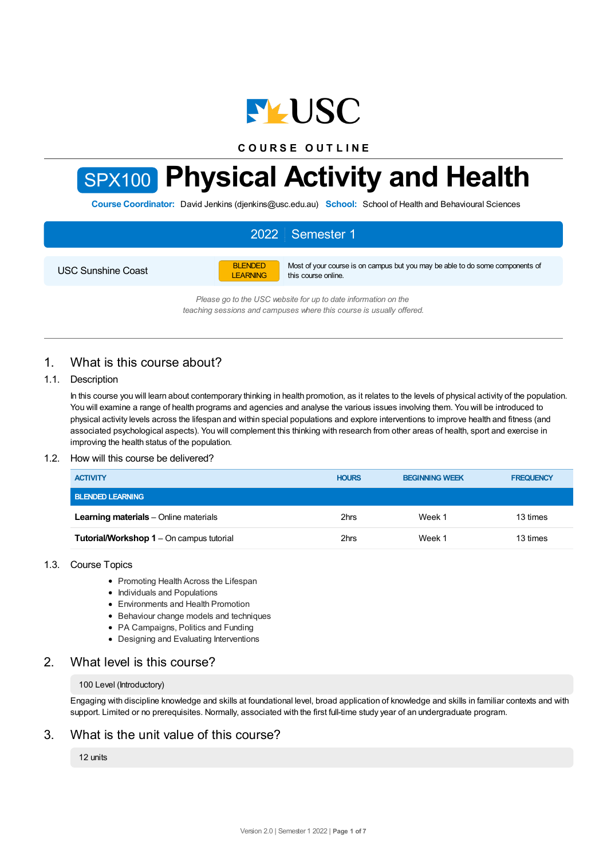

**C O U R S E O U T L I N E**

# SPX100 **Physical Activity and Health**

**Course Coordinator:** David Jenkins (djenkins@usc.edu.au) **School:** School of Health and Behavioural Sciences

# 2022 Semester 1

USC Sunshine Coast

BLENDED LEARNING Most of your course is on campus but you may be able to do some components of this course online.

*Please go to the USC website for up to date information on the teaching sessions and campuses where this course is usually offered.*

# 1. What is this course about?

#### 1.1. Description

In this course you will learn about contemporary thinking in health promotion, as it relates to the levels of physical activity of the population. You will examine a range of health programs and agencies and analyse the various issues involving them. You will be introduced to physical activity levels across the lifespan and within special populations and explore interventions to improve health and fitness (and associated psychological aspects). You will complement this thinking with research from other areas of health, sport and exercise in improving the health status of the population.

#### 1.2. How will this course be delivered?

| <b>ACTIVITY</b>                              | <b>HOURS</b> | <b>BEGINNING WEEK</b> | <b>FREQUENCY</b> |
|----------------------------------------------|--------------|-----------------------|------------------|
| <b>BLENDED LEARNING</b>                      |              |                       |                  |
| <b>Learning materials</b> – Online materials | 2hrs         | Week 1                | 13 times         |
| Tutorial/Workshop 1 - On campus tutorial     | 2hrs         | Week 1                | 13 times         |

#### 1.3. Course Topics

- Promoting Health Across the Lifespan
- Individuals and Populations
- Environments and Health Promotion
- Behaviour change models and techniques
- PA Campaigns, Politics and Funding
- Designing and Evaluating Interventions

# 2. What level is this course?

#### 100 Level (Introductory)

Engaging with discipline knowledge and skills at foundational level, broad application of knowledge and skills in familiar contexts and with support. Limited or no prerequisites. Normally, associated with the first full-time study year of an undergraduate program.

# 3. What is the unit value of this course?

12 units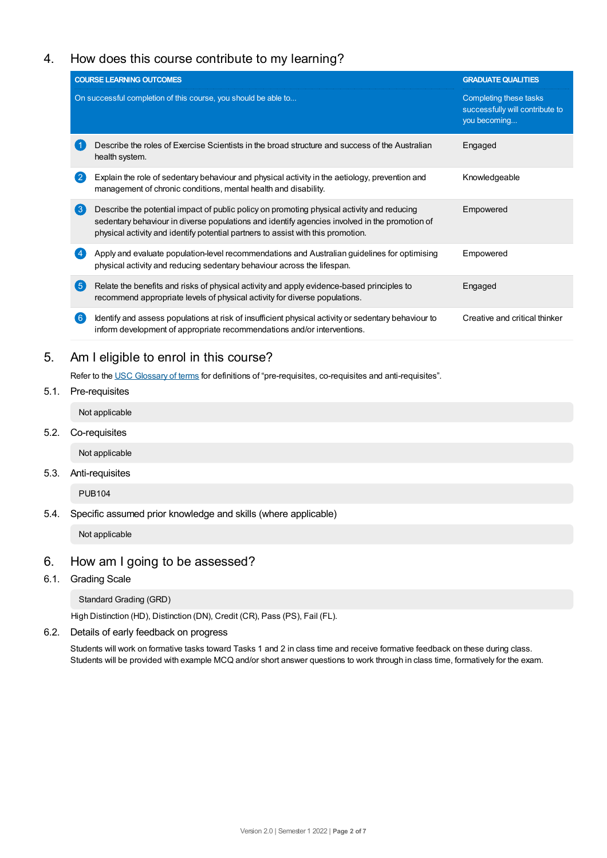# 4. How does this course contribute to my learning?

|                  | <b>COURSE LEARNING OUTCOMES</b>                                                                                                                                                                                                                                                 | <b>GRADUATE QUALITIES</b>                                                 |
|------------------|---------------------------------------------------------------------------------------------------------------------------------------------------------------------------------------------------------------------------------------------------------------------------------|---------------------------------------------------------------------------|
|                  | On successful completion of this course, you should be able to                                                                                                                                                                                                                  | Completing these tasks<br>successfully will contribute to<br>you becoming |
|                  | Describe the roles of Exercise Scientists in the broad structure and success of the Australian<br>health system.                                                                                                                                                                | Engaged                                                                   |
|                  | Explain the role of sedentary behaviour and physical activity in the aetiology, prevention and<br>management of chronic conditions, mental health and disability.                                                                                                               | Knowledgeable                                                             |
| $\left(3\right)$ | Describe the potential impact of public policy on promoting physical activity and reducing<br>sedentary behaviour in diverse populations and identify agencies involved in the promotion of<br>physical activity and identify potential partners to assist with this promotion. | Empowered                                                                 |
|                  | Apply and evaluate population-level recommendations and Australian guidelines for optimising<br>physical activity and reducing sedentary behaviour across the lifespan.                                                                                                         | Empowered                                                                 |
| (5)              | Relate the benefits and risks of physical activity and apply evidence-based principles to<br>recommend appropriate levels of physical activity for diverse populations.                                                                                                         | Engaged                                                                   |
| 6 <sup>°</sup>   | Identify and assess populations at risk of insufficient physical activity or sedentary behaviour to<br>inform development of appropriate recommendations and/or interventions.                                                                                                  | Creative and critical thinker                                             |

Refer to the USC [Glossary](https://www.usc.edu.au/about/policies-and-procedures/glossary-of-terms-for-policy-and-procedures) of terms for definitions of "pre-requisites, co-requisites and anti-requisites".

5.1. Pre-requisites

Not applicable

5.2. Co-requisites

Not applicable

5.3. Anti-requisites

PUB104

5.4. Specific assumed prior knowledge and skills (where applicable)

Not applicable

# 6. How am Igoing to be assessed?

6.1. Grading Scale

Standard Grading (GRD)

High Distinction (HD), Distinction (DN), Credit (CR), Pass (PS), Fail (FL).

6.2. Details of early feedback on progress

Students will work on formative tasks toward Tasks 1 and 2 in class time and receive formative feedback on these during class. Students will be provided with example MCQ and/or short answer questions to work through in class time, formatively for the exam.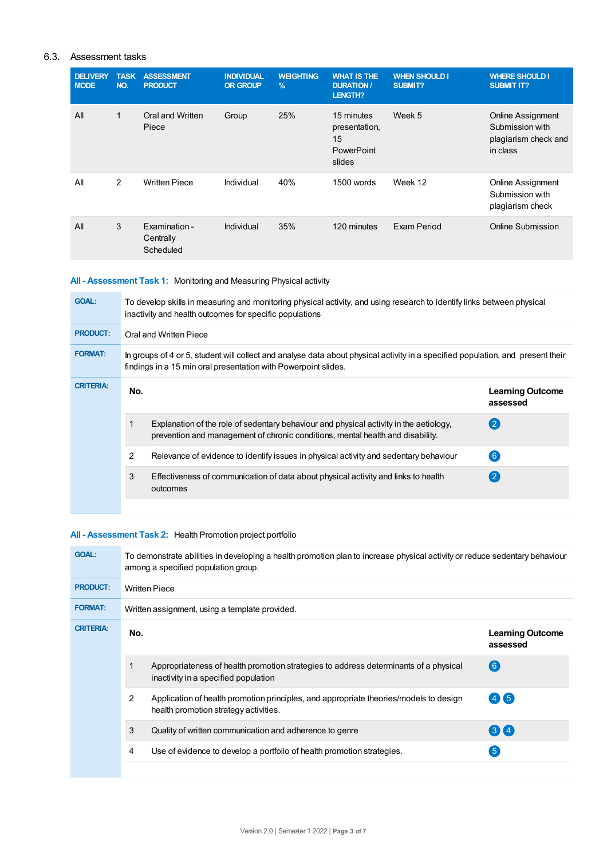## 6.3. Assessment tasks

| <b>DELIVERY</b><br><b>MODE</b> | <b>TASK</b><br>NO. | <b>ASSESSMENT</b><br><b>PRODUCT</b>     | <b>INDIVIDUAL</b><br><b>OR GROUP</b> | <b>WEIGHTING</b><br>$\%$ | <b>WHAT IS THE</b><br><b>DURATION /</b><br>LENGTH?        | <b>WHEN SHOULD I</b><br><b>SUBMIT?</b> | <b>WHERE SHOULD I</b><br><b>SUBMIT IT?</b>                                      |
|--------------------------------|--------------------|-----------------------------------------|--------------------------------------|--------------------------|-----------------------------------------------------------|----------------------------------------|---------------------------------------------------------------------------------|
| All                            | $\mathbf{1}$       | Oral and Written<br>Piece               | Group                                | 25%                      | 15 minutes<br>presentation,<br>15<br>PowerPoint<br>slides | Week 5                                 | <b>Online Assignment</b><br>Submission with<br>plagiarism check and<br>in class |
| All                            | $\mathcal{P}$      | <b>Written Piece</b>                    | Individual                           | 40%                      | 1500 words                                                | Week 12                                | Online Assignment<br>Submission with<br>plagiarism check                        |
| All                            | 3                  | Examination -<br>Centrally<br>Scheduled | Individual                           | 35%                      | 120 minutes                                               | Exam Period                            | Online Submission                                                               |

# **All - Assessment Task 1:** Monitoring and Measuring Physical activity

| <b>GOAL:</b>     | To develop skills in measuring and monitoring physical activity, and using research to identify links between physical<br>inactivity and health outcomes for specific populations                 |                                                                                                                                                                          |                                     |  |  |  |
|------------------|---------------------------------------------------------------------------------------------------------------------------------------------------------------------------------------------------|--------------------------------------------------------------------------------------------------------------------------------------------------------------------------|-------------------------------------|--|--|--|
| <b>PRODUCT:</b>  | Oral and Written Piece                                                                                                                                                                            |                                                                                                                                                                          |                                     |  |  |  |
| <b>FORMAT:</b>   | In groups of 4 or 5, student will collect and analyse data about physical activity in a specified population, and present their<br>findings in a 15 min oral presentation with Powerpoint slides. |                                                                                                                                                                          |                                     |  |  |  |
| <b>CRITERIA:</b> | No.                                                                                                                                                                                               |                                                                                                                                                                          | <b>Learning Outcome</b><br>assessed |  |  |  |
|                  |                                                                                                                                                                                                   | Explanation of the role of sedentary behaviour and physical activity in the aetiology,<br>prevention and management of chronic conditions, mental health and disability. | $\mathbf{2}$                        |  |  |  |
|                  | 2                                                                                                                                                                                                 | Relevance of evidence to identify issues in physical activity and sedentary behaviour                                                                                    | 6 <sup>°</sup>                      |  |  |  |
|                  | 3                                                                                                                                                                                                 | Effectiveness of communication of data about physical activity and links to health<br>outcomes                                                                           | $\mathbf{2}$                        |  |  |  |
|                  |                                                                                                                                                                                                   |                                                                                                                                                                          |                                     |  |  |  |

## **All - Assessment Task 2:** Health Promotion project portfolio

| <b>GOAL:</b>     | To demonstrate abilities in developing a health promotion plan to increase physical activity or reduce sedentary behaviour<br>among a specified population group. |                                                                                                                                |                                     |  |  |  |  |
|------------------|-------------------------------------------------------------------------------------------------------------------------------------------------------------------|--------------------------------------------------------------------------------------------------------------------------------|-------------------------------------|--|--|--|--|
| <b>PRODUCT:</b>  |                                                                                                                                                                   | <b>Written Piece</b>                                                                                                           |                                     |  |  |  |  |
| <b>FORMAT:</b>   |                                                                                                                                                                   | Written assignment, using a template provided.                                                                                 |                                     |  |  |  |  |
| <b>CRITERIA:</b> | No.                                                                                                                                                               |                                                                                                                                | <b>Learning Outcome</b><br>assessed |  |  |  |  |
|                  |                                                                                                                                                                   | Appropriateness of health promotion strategies to address determinants of a physical<br>inactivity in a specified population   | $\left( 6\right)$                   |  |  |  |  |
|                  | $\overline{2}$                                                                                                                                                    | Application of health promotion principles, and appropriate theories/models to design<br>health promotion strategy activities. | $(4)$ (5)                           |  |  |  |  |
|                  | 3                                                                                                                                                                 | Quality of written communication and adherence to genre                                                                        | 3 <sup>4</sup>                      |  |  |  |  |
|                  | 4                                                                                                                                                                 | Use of evidence to develop a portfolio of health promotion strategies.                                                         | $5^{\circ}$                         |  |  |  |  |
|                  |                                                                                                                                                                   |                                                                                                                                |                                     |  |  |  |  |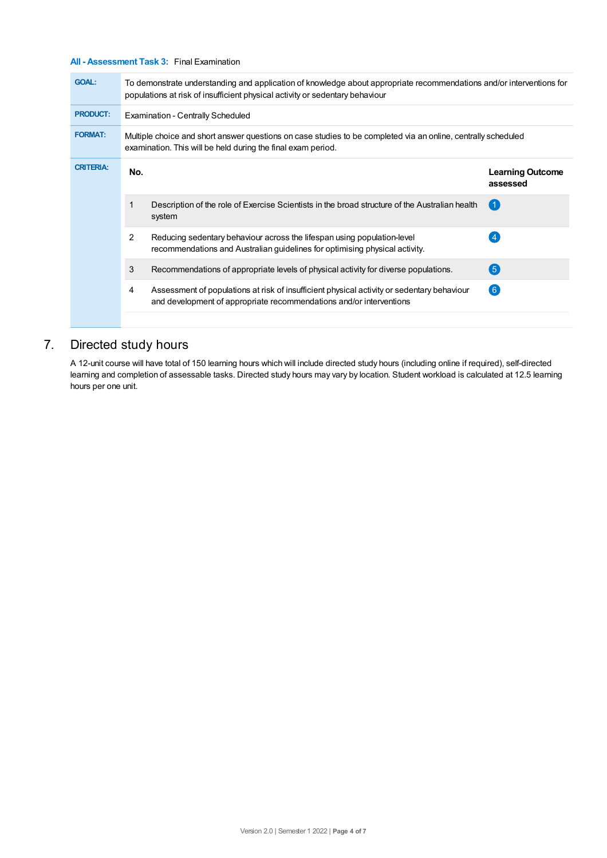## **All - Assessment Task 3:** Final Examination

| <b>GOAL:</b>     |     | To demonstrate understanding and application of knowledge about appropriate recommendations and/or interventions for<br>populations at risk of insufficient physical activity or sedentary behaviour |                                     |  |  |  |  |
|------------------|-----|------------------------------------------------------------------------------------------------------------------------------------------------------------------------------------------------------|-------------------------------------|--|--|--|--|
| <b>PRODUCT:</b>  |     | <b>Examination - Centrally Scheduled</b>                                                                                                                                                             |                                     |  |  |  |  |
| <b>FORMAT:</b>   |     | Multiple choice and short answer questions on case studies to be completed via an online, centrally scheduled<br>examination. This will be held during the final exam period.                        |                                     |  |  |  |  |
| <b>CRITERIA:</b> | No. |                                                                                                                                                                                                      | <b>Learning Outcome</b><br>assessed |  |  |  |  |
|                  |     | Description of the role of Exercise Scientists in the broad structure of the Australian health<br>system                                                                                             | -1.                                 |  |  |  |  |
|                  | 2   | Reducing sedentary behaviour across the lifespan using population-level<br>recommendations and Australian guidelines for optimising physical activity.                                               |                                     |  |  |  |  |
|                  | 3   | Recommendations of appropriate levels of physical activity for diverse populations.                                                                                                                  | (5)                                 |  |  |  |  |
|                  | 4   | Assessment of populations at risk of insufficient physical activity or sedentary behaviour<br>and development of appropriate recommendations and/or interventions                                    | (6)                                 |  |  |  |  |

# 7. Directed study hours

A 12-unit course will have total of 150 learning hours which will include directed study hours (including online if required), self-directed learning and completion of assessable tasks. Directed study hours may vary by location. Student workload is calculated at 12.5 learning hours per one unit.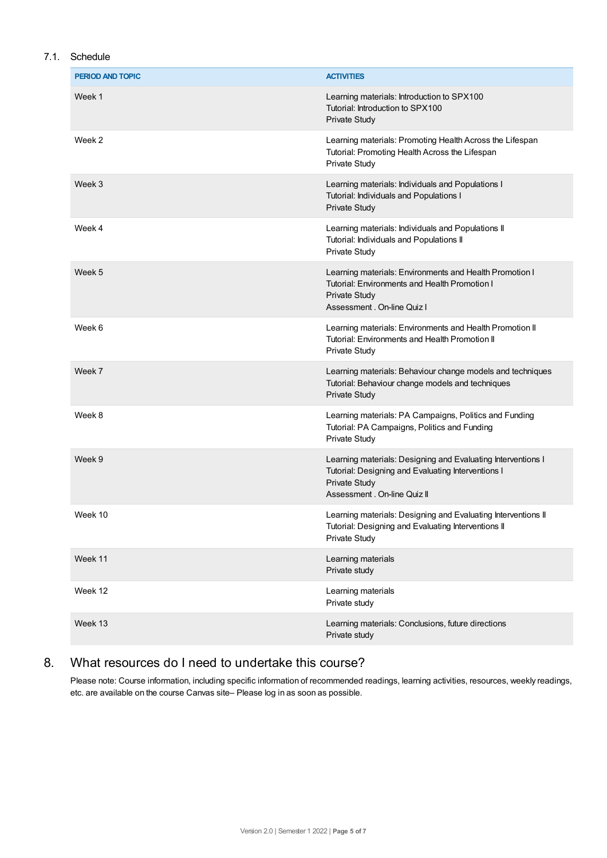# 7.1. Schedule

| PERIOD AND TOPIC | <b>ACTIVITIES</b>                                                                                                                                                          |
|------------------|----------------------------------------------------------------------------------------------------------------------------------------------------------------------------|
| Week 1           | Learning materials: Introduction to SPX100<br>Tutorial: Introduction to SPX100<br>Private Study                                                                            |
| Week 2           | Learning materials: Promoting Health Across the Lifespan<br>Tutorial: Promoting Health Across the Lifespan<br><b>Private Study</b>                                         |
| Week 3           | Learning materials: Individuals and Populations I<br>Tutorial: Individuals and Populations I<br><b>Private Study</b>                                                       |
| Week 4           | Learning materials: Individuals and Populations II<br>Tutorial: Individuals and Populations II<br><b>Private Study</b>                                                     |
| Week 5           | Learning materials: Environments and Health Promotion I<br>Tutorial: Environments and Health Promotion I<br><b>Private Study</b><br>Assessment, On-line Quiz I             |
| Week 6           | Learning materials: Environments and Health Promotion II<br>Tutorial: Environments and Health Promotion II<br><b>Private Study</b>                                         |
| Week 7           | Learning materials: Behaviour change models and techniques<br>Tutorial: Behaviour change models and techniques<br><b>Private Study</b>                                     |
| Week 8           | Learning materials: PA Campaigns, Politics and Funding<br>Tutorial: PA Campaigns, Politics and Funding<br><b>Private Study</b>                                             |
| Week 9           | Learning materials: Designing and Evaluating Interventions I<br>Tutorial: Designing and Evaluating Interventions I<br><b>Private Study</b><br>Assessment . On-line Quiz II |
| Week 10          | Learning materials: Designing and Evaluating Interventions II<br>Tutorial: Designing and Evaluating Interventions II<br>Private Study                                      |
| Week 11          | Learning materials<br>Private study                                                                                                                                        |
| Week 12          | Learning materials<br>Private study                                                                                                                                        |
| Week 13          | Learning materials: Conclusions, future directions<br>Private study                                                                                                        |

# 8. What resources do I need to undertake this course?

Please note: Course information, including specific information of recommended readings, learning activities, resources, weekly readings, etc. are available on the course Canvas site– Please log in as soon as possible.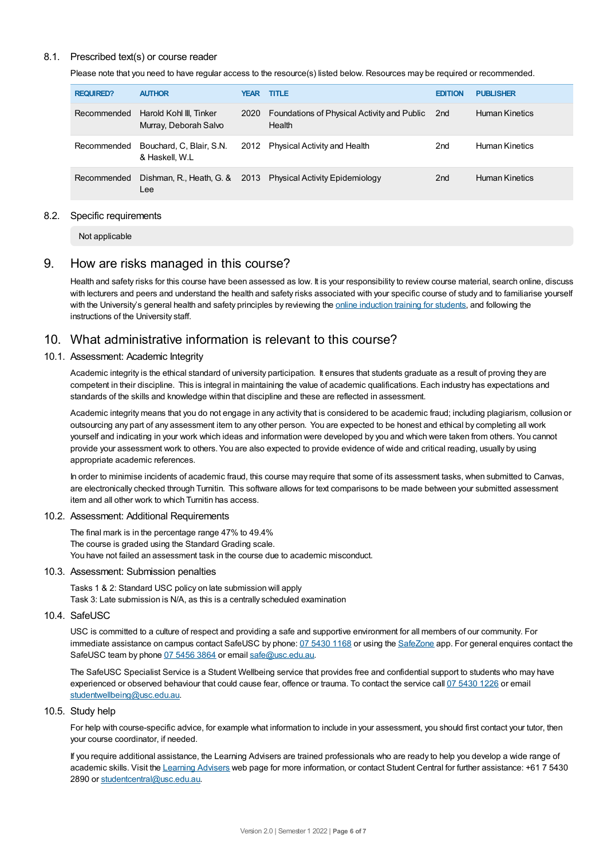#### 8.1. Prescribed text(s) or course reader

Please note that you need to have regular access to the resource(s) listed below. Resources may be required or recommended.

| <b>REQUIRED?</b> | <b>AUTHOR</b>                                    | <b>YEAR</b> | <b>TITLE</b>                                          | <b>EDITION</b>  | <b>PUBLISHER</b>      |
|------------------|--------------------------------------------------|-------------|-------------------------------------------------------|-----------------|-----------------------|
| Recommended      | Harold Kohl III, Tinker<br>Murray, Deborah Salvo | 2020        | Foundations of Physical Activity and Public<br>Health | 2nd             | <b>Human Kinetics</b> |
| Recommended      | Bouchard, C, Blair, S.N.<br>& Haskell, W.L       |             | 2012 Physical Activity and Health                     | 2nd             | <b>Human Kinetics</b> |
| Recommended      | Dishman, R., Heath, G. &<br>Lee                  |             | 2013 Physical Activity Epidemiology                   | 2 <sub>nd</sub> | Human Kinetics        |

#### 8.2. Specific requirements

Not applicable

# 9. How are risks managed in this course?

Health and safety risks for this course have been assessed as low. It is your responsibility to review course material, search online, discuss with lecturers and peers and understand the health and safety risks associated with your specific course of study and to familiarise yourself with the University's general health and safety principles by reviewing the online [induction](https://online.usc.edu.au/webapps/blackboard/content/listContentEditable.jsp?content_id=_632657_1&course_id=_14432_1) training for students, and following the instructions of the University staff.

# 10. What administrative information is relevant to this course?

#### 10.1. Assessment: Academic Integrity

Academic integrity is the ethical standard of university participation. It ensures that students graduate as a result of proving they are competent in their discipline. This is integral in maintaining the value of academic qualifications. Each industry has expectations and standards of the skills and knowledge within that discipline and these are reflected in assessment.

Academic integrity means that you do not engage in any activity that is considered to be academic fraud; including plagiarism, collusion or outsourcing any part of any assessment item to any other person. You are expected to be honest and ethical by completing all work yourself and indicating in your work which ideas and information were developed by you and which were taken from others. You cannot provide your assessment work to others. You are also expected to provide evidence of wide and critical reading, usually by using appropriate academic references.

In order to minimise incidents of academic fraud, this course may require that some of its assessment tasks, when submitted to Canvas, are electronically checked through Turnitin. This software allows for text comparisons to be made between your submitted assessment item and all other work to which Turnitin has access.

#### 10.2. Assessment: Additional Requirements

The final mark is in the percentage range 47% to 49.4% The course is graded using the Standard Grading scale. You have not failed an assessment task in the course due to academic misconduct.

#### 10.3. Assessment: Submission penalties

Tasks 1 & 2: Standard USC policy on late submission will apply Task 3: Late submission is N/A, as this is a centrally scheduled examination

#### 10.4. SafeUSC

USC is committed to a culture of respect and providing a safe and supportive environment for all members of our community. For immediate assistance on campus contact SafeUSC by phone: 07 [5430](tel:07%205430%201168) 1168 or using the [SafeZone](https://www.safezoneapp.com) app. For general enquires contact the SafeUSC team by phone 07 [5456](tel:07%205456%203864) 3864 or email [safe@usc.edu.au](mailto:safe@usc.edu.au).

The SafeUSC Specialist Service is a Student Wellbeing service that provides free and confidential support to students who may have experienced or observed behaviour that could cause fear, offence or trauma. To contact the service call 07 [5430](tel:07%205430%201226) 1226 or email [studentwellbeing@usc.edu.au](mailto:studentwellbeing@usc.edu.au).

#### 10.5. Study help

For help with course-specific advice, for example what information to include in your assessment, you should first contact your tutor, then your course coordinator, if needed.

If you require additional assistance, the Learning Advisers are trained professionals who are ready to help you develop a wide range of academic skills. Visit the Learning [Advisers](https://www.usc.edu.au/current-students/student-support/academic-and-study-support/learning-advisers) web page for more information, or contact Student Central for further assistance: +61 7 5430 2890 or [studentcentral@usc.edu.au](mailto:studentcentral@usc.edu.au).